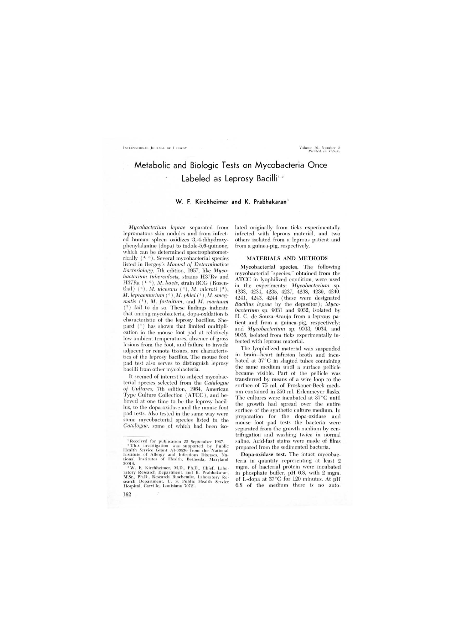# Metabolic and Biologic Tests on Mycobacteria Once Labeled as Leprosy Bacilli

# W. F. Kirchheimer and K. Prabhakaran<sup>3</sup>

*My cobacterium leprae* separated from lepromatous skin nodules and from infected human spleen oxidizes 3,-4-dihydroxyphenylalanine (dopa) to indole-5,6-quinone, which can be determined spectrophotometrically  $(^{4,-6})$ . Several mycobacterial species listed in Bergey's Manual of Determinative Bacteriology, 7th edition, 1957, like Myco*bacterium tuberculosis,* strains H37Rv and H37Ra  $(^{4, 6})$ , *M. bovis*, strain BCG (Rosenthal) (<sup>6</sup>), *M. ulcerans* (<sup>3</sup>), *M. microti* (<sup>3</sup>), *M. lepraemurium*  $(°)$ *, M. phlei*  $(†)$ *, M. smegmatis*  $($ <sup>4</sup> $),$  *M. fortuitum, and M. marinum*  $(3)$  fail to do so. These findings indicate that among mycobacteria, dopa-oxidation is charac teristic of the leprosy bacillus. Shepard  $(7)$  has shown that limited multiplication in the mouse foot pad at relatively low ambient temperatures, absence of gross lesions from the foot, and failure to invade adjacent or remote tissues, are characteristics of the leprosy bacillus. The mouse foot pad test also serves to distinguish leprosy bacilli from other mycobacteria.

It seemed of interest to subject mycobacterial species selected from the *Catalogue* of Cultures, 7th edition, 1964, American Type Culture Collection (ATCC), and believed at one time to be the leprosy bacillus, to the dopa-oxidase and the mouse foot pad tests. Also tested in the same way were some mycobacterial species listed in the *Catalogue,* some of which had been isolated originally from ticks experimentally infected with leprous material, and two others isolated from a leprous patient and from a guinea-pig, respectively.

#### MATERIALS AND METHODS

Mycob acterial species. The following mycobacterial "species," obtained from the ATCC in lyophilized condition, were used in the experiments: Mycobacterium sp. 4233, 4234, 4235, 4237, 4238, 4239, 4240, 4241, 4243, 4244 ( these were designated *Bacillus leprae* by the depositor); Myco*bacterium* sp. 9031 and 9032, isolated by H. C. de Souza-Araujo from a leprous patient and from a guinea-pig, respectively; and *My cobacterium* sp. 9J33, 90.34, and 9035, isolated from ticks experimentally infected with leprous material.

The lyophilized material was suspended in brain- heart infusion broth and incubated at 37 °C in slanted tubes containing the same medium until a surface pellicle became visible. Part of the pellicle was transferred by means of a wire loop to the surface of 75 ml. of Proskauer-Beck medium contained in 250 ml. Erlenmeyer flasks. The cultures were incubated at 37°C until the growth had spread over the entire surface of the synthetic culture medium. In preparation for the dopa-oxidase and mouse foot pad tests the bacteria were separated from the growth medium by centrifugation and washing twice in normal saline. Acid-fast stains were made of films prepared from the sedimented bacteria.

Dopa-oxidase test. The intact mycobacteria in quantity representing at least 2 mgm. of bacterial protein were incubated in phosphate buffer, pH 6.8, WIth 2 mgm. of L-dopa at 37°C for 120 minutes. At pH 6.8 of the medium there is no auto-

162

<sup>&</sup>lt;sup>1</sup> Received for publication 22 September 1967.

<sup>&</sup>lt;sup>2</sup> This investigation was supported by Public Health Service Grant AI-03636 from the National Institute of Allergy and Infectious Diseases. Na-<br>tional Institutes of Health, Bethesda, Maryland 200 14.

<sup>&</sup>lt;sup>3</sup>W. F. Kirchheimer, M.D., Ph.D., Chief. Laboratory Research Department. and K. Prabhakaran. M.Sc., Ph.D., Research Biochemist. Laboratory Research Department, U. S. Public Health Service Hospital, Carville, Louisiana 70721.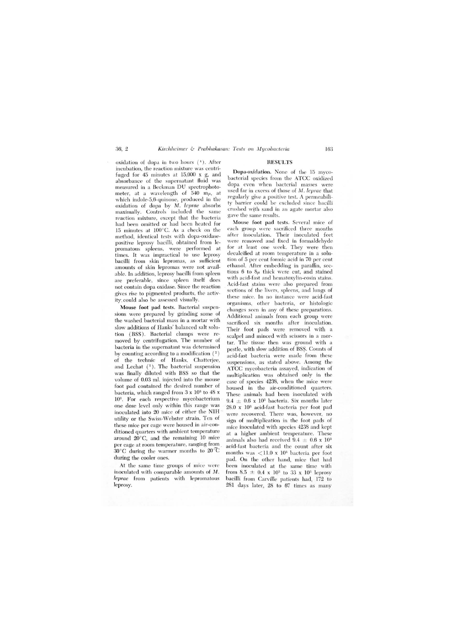oxidation of dopa in two hours (<sup>1</sup>). After incubation, the reaction mixture was centrifuged for 45 minutes at 15,000 x g, and absorbance of the supernatant fluid was measured in a Beckman DU spectrophotometer, at a wavelength of 540 m $\mu$ , at which indole-5,6-quinone, produced in the oxidation of dopa by M. *leprae* absorbs maximally. Controls included the same reaction mixture, except that the bacteria had been omitted or had been heated for 15 minutes at 100°C. As a check on the method, identical tests with dopa-oxidasepositive leprosy bacilli, obtained from lepromatous spleens, were performed at times. It was impractical to use leprosy bacilli from skin lepromas, as sufficient amounts of skin lepromas were not available. In addition, leprosy bacilli from spleen are preferable, since spleen itself does not contain dopa oxidase. Since the reaction gives rise to pigmented products, the activity, could also be assessed visually.

Mouse foot pad tests. Bacterial suspensions were prepared by grinding some of the washed bacterial mass in a mortar with slow additions of Hanks' balanced salt solution (BSS). Bacterial clumps were removed by centrifugation. The number of bacteria in the supernatant was determined by counting according to a modification  $(2)$ of the technic of Hanks. Chatterjee, and Lechat  $(1)$ . The bacterial suspension was finally diluted with BSS so that the volume of 0.03 ml. injected into the mouse foot pad contained the desired number of bacteria, which ranged from  $3 \times 10^3$  to  $48 \times$ 10<sup>3</sup>. For each respective mycobacterium one dose level only within this range was inoculated into 20 mice of either the NIH ' utility or the Swiss-Webster strain. Ten of these mice per cage were housed in air-conditioned quarters with ambient temperature around 20°C, and the remaining 10 mice per cage at room temperature, ranging from  $30^{\circ}$ C during the warmer months to  $20^{\circ}$ C during the cooler ones.

At the same time groups of mice were inoculated with comparable amounts of M. *leprae* from patients with lepromatous leprosy.

## RESULTS

Dopa-oxidation. None of the 15 mycobacterial species from the ATCC oxidized dopa even when bacterial masses were used far in excess of those of M. *leprae* that regularly give a positive test. A permeability barrier could be excluded since bacilli crushed wtth sand in an agate mortar also gave the same results.

Mouse foot pad tests. Several mice of each group were sacrificed three months after inoculation. Their inoculated feet were removed and fixed in formaldehyde for at least one week. They were then decalcified at room temperature in a solution of 5 per cent formic acid in 70 per cent ethanol. After embedding in paraffin, sections  $6$  to  $8\mu$  thick were cut, and stained with acid-fast and hematoxylin-eosin stains. Acid-fast stains were also prepared from sections of the livers, spleens, and lungs of these mice. In no instance were acid-fast organisms, other bacteria, or histologic changes seen in any of these preparations. Additional animals from each group were sacrificed six months after inoculation. Their foot pads were removed with a scalpel and minced with scissors in a mortar. The tissue then was ground with a pestle, with slow addition of BS\$. Counts of acid-fast bacteria were made from these suspensions, as stated above. Among the ATCC mycobacteria assayed, indication of multiplication was obtained only in the case of species 4238, when the mice were housed in the air-conditioned quarters. These animals had been inoculated with  $9.4 \pm 0.6$  x  $10^3$  bacteria. Six months later  $28.0 \times 10^3$  acid-fast bacteria per foot pad were recovered. There was, however, no sign of multiplication in the foot pads of mice inoculated with species 4238 and kept at a higher ambient temperature. These animals also had received  $9.4~\pm~0.6$  x  $10^3$ acid-fast bacteria and the count after six months was  $\langle 11.0 \times 10^3 \rangle$  bacteria per foot pad. On the other hand, mice that had been inoculated at thc same time with from  $8.5 \pm 0.4 \times 10^3$  to 33 x 10<sup>3</sup> leprosy bacilli from Carville patients had, 172 to 281 days later, 28 to 67 times as many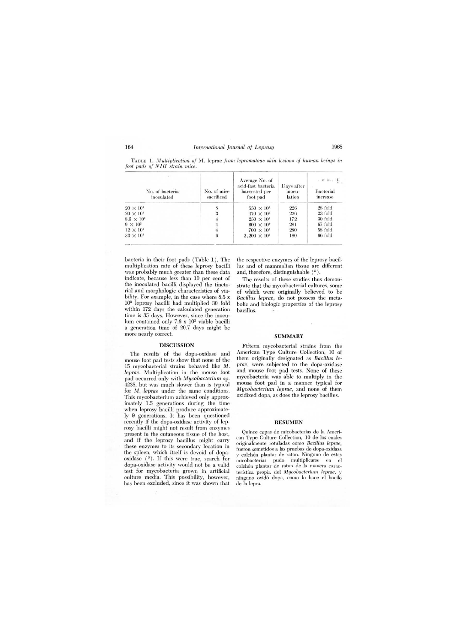| No. of bacteria<br>inoculated | No. of mice<br>sacrificed | Average No. of<br>acid-fast bacteria<br>harvested per<br>foot pad | Days after<br>inocu-<br>lation | $\alpha$ . It is known in<br>Bacterial<br>increase |
|-------------------------------|---------------------------|-------------------------------------------------------------------|--------------------------------|----------------------------------------------------|
| $20 \times 10^3$              |                           | $550 \times 10^{3}$                                               | 226                            | 28 fold                                            |
| $20 \times 10^3$              | 3                         | $470 \times 10^{3}$                                               | 226                            | 23 fold                                            |
| $8.5 \times 10^{3}$           |                           | $250 \times 10^{3}$                                               | 172                            | 30 fold                                            |
| $9 \times 10^3$               |                           | $600 \times 10^{3}$                                               | 281                            | 67 fold                                            |
| $12 \times 10^3$              |                           | $700 \times 10^{3}$                                               | 280                            | 58 fold                                            |
| $33 \times 10^3$              | 6                         | $2,200 \times 10^3$                                               | 180                            | 66 fold                                            |

TABLE 1. *Multiplication of M.* leprae *from lepromatous skin lesions of human beings in foot pads of N IH strain mice.* 

bacteria in their foot pads (Table 1). The multiplication rate of these leprosy bacilli was probably much greater than these data indicate, because less than 10 per cent of the inoculated bacilli displayed the tincto· rial and morphologic characteristics of viability. For example, in the case where 8.5 x 103 leprosy bacilli had multiplied 30 fold within 172 days the calculated generation time is 35 days. However, since the inoculum contained only 7.6 x 102 viable bacilli a generation time of 20.7 days might be more nearly correct.

### DISCUSSION

The results of the dopa-oxidase and mouse foot pad tests show that none of the 15 mycobacterial strains behaved like M. *lepme.* Multiplication in the mouse foot pad occurred only with *My cobacterium* sp. 4238, but was much slower than is typical for M. *leprae* under the same conditions. This mycobacterium achieved only approximately 1.5 generations during the time when leprosy bacilli produce approximately 9 generations. It has been questioned recently if the dopa-oxidase activity of leprosy bacilli might not result from enzymes present in the cutaneous tissue of the host, and if the leprosy bacillus might carry these enzymes to its secondary location in the spleen, which itself is devoid of dopaoxidase (<sup>6</sup>). If this were true, search for dopa-oxidase activity would not be a valid test for mycobacteria grown in artificial culture media. This possibility, however, has been excluded, since it was shown that

the respective enzymes of the leprosy bacillus and of mammalian tissue are different and, therefore, distinguishable  $(5)$ .

The results of these studies thus demonstrate that the mycobacterial cultures, some of which were originally believed to be *Bacillus leprae,* do not possess the metabolic and biologic properties of the leprosy bacillus.

#### SUMMARY

Fifteen mycobacterial strains from the American Type Culture Collection, 10 of them originally designated as *Bacillus leprae,* were subjected to the dopa-oxidase and mouse foot pad tests. None of these mycobacteria was able to multiply in the mouse foot pad in a manner typical for *Mycobacterium leprae,* and none of them oxidized dopa, as does the leprosy bacillus.

#### RESUMEN

Quince cepas de micobaeterias de la American Type Culture Collection, 10 de los cuales originalmente rotuladas como *Bacillus leprae,*  fueron sometidos a las pruebas de dopa-oxidasa y colch6n plantar de raton. Ninguno de estas micobacterias pudo multiplicarse en el colchón plantar de raton de la manera caracteristiea propia del *Mycobacterium leprae,* y ninguno oxidó dopa, como lo hace el bacilo de la lepra.